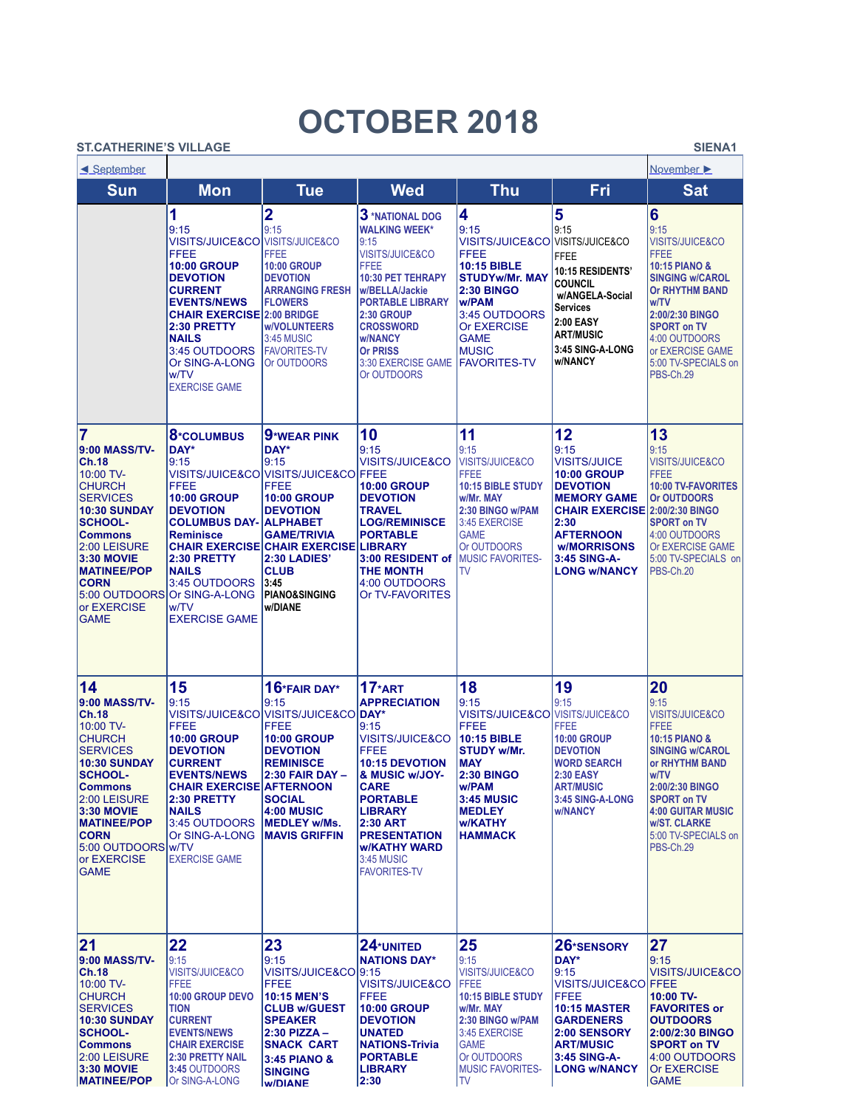## **OCTOBER 2018**

## **ST.CATHERINE'S VILLAGE SIENA1**

| <u>Eseptember</u>                                                                                                                                                                                                                                                             |                                                                                                                                                                                                                                                                                     | November >                                                                                                                                                                                                                                                               |                                                                                                                                                                                                                                                                            |                                                                                                                                                                                                                           |                                                                                                                                                                                                                             |                                                                                                                                                                                                                                                                         |
|-------------------------------------------------------------------------------------------------------------------------------------------------------------------------------------------------------------------------------------------------------------------------------|-------------------------------------------------------------------------------------------------------------------------------------------------------------------------------------------------------------------------------------------------------------------------------------|--------------------------------------------------------------------------------------------------------------------------------------------------------------------------------------------------------------------------------------------------------------------------|----------------------------------------------------------------------------------------------------------------------------------------------------------------------------------------------------------------------------------------------------------------------------|---------------------------------------------------------------------------------------------------------------------------------------------------------------------------------------------------------------------------|-----------------------------------------------------------------------------------------------------------------------------------------------------------------------------------------------------------------------------|-------------------------------------------------------------------------------------------------------------------------------------------------------------------------------------------------------------------------------------------------------------------------|
| <b>Sun</b>                                                                                                                                                                                                                                                                    | <b>Mon</b>                                                                                                                                                                                                                                                                          | <b>Tue</b>                                                                                                                                                                                                                                                               | <b>Wed</b>                                                                                                                                                                                                                                                                 | <b>Thu</b>                                                                                                                                                                                                                | Fri                                                                                                                                                                                                                         | <b>Sat</b>                                                                                                                                                                                                                                                              |
|                                                                                                                                                                                                                                                                               | 1<br>9:15<br>VISITS/JUICE&CO VISITS/JUICE&CO<br><b>FFEE</b><br><b>10:00 GROUP</b><br><b>DEVOTION</b><br><b>CURRENT</b><br><b>EVENTS/NEWS</b><br><b>CHAIR EXERCISE 2:00 BRIDGE</b><br>2:30 PRETTY<br><b>NAILS</b><br>3:45 OUTDOORS<br>Or SING-A-LONG<br>w/TV<br><b>EXERCISE GAME</b> | $\overline{\mathbf{2}}$<br>9:15<br><b>FFEE</b><br><b>10:00 GROUP</b><br><b>DEVOTION</b><br><b>ARRANGING FRESH</b><br><b>FLOWERS</b><br><b>w/VOLUNTEERS</b><br>3:45 MUSIC<br><b>FAVORITES-TV</b><br><b>Or OUTDOORS</b>                                                    | 3 *NATIONAL DOG<br><b>WALKING WEEK*</b><br>9:15<br><b>VISITS/JUICE&amp;CO</b><br><b>FFEE</b><br><b>10:30 PET TEHRAPY</b><br>w/BELLA/Jackie<br><b>PORTABLE LIBRARY</b><br>2:30 GROUP<br><b>CROSSWORD</b><br>w/NANCY<br><b>Or PRISS</b><br>3:30 EXERCISE GAME<br>Or OUTDOORS | 4<br>9:15<br><b>VISITS/JUICE&amp;CO</b><br><b>FFEE</b><br><b>10:15 BIBLE</b><br><b>STUDYw/Mr. MAY</b><br><b>2:30 BINGO</b><br>w/PAM<br>3:45 OUTDOORS<br>Or EXERCISE<br><b>GAME</b><br><b>MUSIC</b><br><b>FAVORITES-TV</b> | 5<br>9:15<br>VISITS/JUICE&CO<br><b>FFEE</b><br>10:15 RESIDENTS'<br><b>COUNCIL</b><br>w/ANGELA-Social<br>Services<br>2:00 EASY<br><b>ART/MUSIC</b><br>3:45 SING-A-LONG<br>w/NANCY                                            | 6<br>9:15<br><b>VISITS/JUICE&amp;CO</b><br><b>FFEE</b><br><b>10:15 PIANO &amp;</b><br><b>SINGING w/CAROL</b><br>Or RHYTHM BAND<br>w/TV<br>2:00/2:30 BINGO<br><b>SPORT on TV</b><br>4:00 OUTDOORS<br>or EXERCISE GAME<br>5:00 TV-SPECIALS on<br>PBS-Ch.29                |
| 7<br>9:00 MASS/TV-<br><b>Ch.18</b><br>10:00 TV-<br><b>CHURCH</b><br><b>SERVICES</b><br><b>10:30 SUNDAY</b><br><b>SCHOOL-</b><br><b>Commons</b><br>2:00 LEISURE<br><b>3:30 MOVIE</b><br><b>MATINEE/POP</b><br><b>CORN</b><br>5:00 OUTDOORS<br>or EXERCISE<br><b>GAME</b>       | 8*COLUMBUS<br>DAY*<br>9:15<br>FFEE<br><b>10:00 GROUP</b><br><b>DEVOTION</b><br><b>COLUMBUS DAY- ALPHABET</b><br><b>Reminisce</b><br>2:30 PRETTY<br><b>NAILS</b><br>3:45 OUTDOORS<br>Or SING-A-LONG<br>w/TV<br><b>EXERCISE GAME</b>                                                  | 9*WEAR PINK<br>DAY*<br>9:15<br>VISITS/JUICE&CO VISITS/JUICE&CO FFEE<br>FFEE<br><b>10:00 GROUP</b><br><b>DEVOTION</b><br><b>GAME/TRIVIA</b><br><b>CHAIR EXERCISE CHAIR EXERCISE LIBRARY</b><br>2:30 LADIES'<br><b>CLUB</b><br>3:45<br><b>PIANO&amp;SINGING</b><br>w/DIANE | 10<br>9:15<br><b>VISITS/JUICE&amp;CO</b><br>10:00 GROUP<br><b>DEVOTION</b><br><b>TRAVEL</b><br><b>LOG/REMINISCE</b><br><b>PORTABLE</b><br>3:00 RESIDENT of<br>THE MONTH<br>4:00 OUTDOORS<br>Or TV-FAVORITES                                                                | 11<br>9:15<br><b>VISITS/JUICE&amp;CO</b><br><b>FFEE</b><br><b>10:15 BIBLE STUDY</b><br>w/Mr. MAY<br>2:30 BINGO w/PAM<br>3:45 EXERCISE<br><b>GAME</b><br>Or OUTDOORS<br><b>MUSIC FAVORITES-</b><br><b>TV</b>               | 12<br>9:15<br><b>VISITS/JUICE</b><br><b>10:00 GROUP</b><br><b>DEVOTION</b><br><b>MEMORY GAME</b><br>CHAIR EXERCISE 2:00/2:30 BINGO<br>2:30<br><b>AFTERNOON</b><br><b>w/MORRISONS</b><br>3:45 SING-A-<br><b>LONG W/NANCY</b> | 13<br>9:15<br><b>VISITS/JUICE&amp;CO</b><br><b>FFEE</b><br><b>10:00 TV-FAVORITES</b><br>Or OUTDOORS<br><b>SPORT on TV</b><br>4:00 OUTDOORS<br>Or EXERCISE GAME<br>5:00 TV-SPECIALS on<br>PBS-Ch.20                                                                      |
| 14<br><b>9:00 MASS/TV-</b><br>Ch.18<br>10:00 TV-<br><b>CHURCH</b><br><b>SERVICES</b><br><b>10:30 SUNDAY</b><br><b>SCHOOL-</b><br><b>Commons</b><br>2:00 LEISURE<br><b>3:30 MOVIE</b><br><b>MATINEE/POP</b><br><b>CORN</b><br>5:00 OUTDOORS W/TV<br>or EXERCISE<br><b>GAME</b> | 15<br>9:15<br><b>FFEE</b><br><b>10:00 GROUP</b><br><b>DEVOTION</b><br><b>CURRENT</b><br><b>EVENTS/NEWS</b><br><b>CHAIR EXERCISE AFTERNOON</b><br>2:30 PRETTY<br><b>NAILS</b><br>3:45 OUTDOORS<br>Or SING-A-LONG<br><b>EXERCISE GAME</b>                                             | 16*FAIR DAY*<br>9:15<br>VISITS/JUICE&CO <b>I</b> VISITS/JUICE&CO<br><b>FFEE</b><br><b>10:00 GROUP</b><br><b>DEVOTION</b><br><b>REMINISCE</b><br><b>2:30 FAIR DAY -</b><br><b>SOCIAL</b><br><b>4:00 MUSIC</b><br><b>MEDLEY w/Ms.</b><br><b>MAVIS GRIFFIN</b>              | $17*ART$<br><b>APPRECIATION</b><br>DAY*<br>9:15<br>VISITS/JUICE&CO<br>FFEE<br><b>10:15 DEVOTION</b><br>& MUSIC w/JOY-<br><b>CARE</b><br><b>PORTABLE</b><br><b>LIBRARY</b><br>2:30 ART<br><b>PRESENTATION</b><br><b>w/KATHY WARD</b><br>3:45 MUSIC<br><b>FAVORITES-TV</b>   | 18<br>9:15<br><b>VISITS/JUICE&amp;CO</b><br><b>FFEE</b><br><b>10:15 BIBLE</b><br><b>STUDY w/Mr.</b><br><b>MAY</b><br><b>2:30 BINGO</b><br>w/PAM<br><b>3:45 MUSIC</b><br><b>MEDLEY</b><br><b>w/KATHY</b><br><b>HAMMACK</b> | 19<br>9:15<br><b>VISITS/JUICE&amp;CO</b><br><b>FFEE</b><br><b>10:00 GROUP</b><br><b>DEVOTION</b><br><b>WORD SEARCH</b><br><b>2:30 EASY</b><br><b>ART/MUSIC</b><br>3:45 SING-A-LONG<br><b>w/NANCY</b>                        | 20<br>9:15<br><b>VISITS/JUICE&amp;CO</b><br><b>FFEE</b><br><b>10:15 PIANO &amp;</b><br><b>SINGING w/CAROL</b><br>or RHYTHM BAND<br>w/TV<br>2:00/2:30 BINGO<br><b>SPORT on TV</b><br>4:00 GUITAR MUSIC<br><b>w/ST. CLARKE</b><br>5:00 TV-SPECIALS on<br><b>PBS-Ch.29</b> |
| 21<br>9:00 MASS/TV-<br>Ch.18<br>10:00 TV-<br><b>CHURCH</b><br><b>ISERVICES</b><br><b>10:30 SUNDAY</b><br><b>SCHOOL-</b><br><b>Commons</b><br>2:00 LEISURE<br><b>3:30 MOVIE</b><br><b>MATINEE/POP</b>                                                                          | 22<br>9:15<br><b>VISITS/JUICE&amp;CO</b><br><b>FFEE</b><br>10:00 GROUP DEVO<br><b>TION</b><br><b>CURRENT</b><br><b>EVENTS/NEWS</b><br><b>CHAIR EXERCISE</b><br><b>2:30 PRETTY NAIL</b><br>3:45 OUTDOORS<br>Or SING-A-LONG                                                           | 23<br>9:15<br>VISITS/JUICE&CO 9:15<br><b>FFEE</b><br>10:15 MEN'S<br><b>CLUB w/GUEST</b><br><b>SPEAKER</b><br>$2:30$ PIZZA -<br><b>SNACK CART</b><br>3:45 PIANO &<br><b>SINGING</b><br><b>WDIANE</b>                                                                      | 24*UNITED<br><b>NATIONS DAY*</b><br><b>VISITS/JUICE&amp;CO</b><br>FFEE<br><b>10:00 GROUP</b><br><b>DEVOTION</b><br><b>UNATED</b><br><b>NATIONS-Trivia</b><br>PORTABLE<br><b>LIBRARY</b><br>2:30                                                                            | 25<br>9:15<br><b>VISITS/JUICE&amp;CO</b><br><b>IFFEE</b><br><b>10:15 BIBLE STUDY</b><br>w/Mr. MAY<br>2:30 BINGO w/PAM<br>3:45 EXERCISE<br><b>GAME</b><br>Or OUTDOORS<br><b>MUSIC FAVORITES-</b><br><b>ITV</b>             | 26*SENSORY<br>DAY*<br>9:15<br>VISITS/JUICE&CO FFEE<br><b>FFEE</b><br><b>10:15 MASTER</b><br><b>GARDENERS</b><br>2:00 SENSORY<br><b>ART/MUSIC</b><br>3:45 SING-A-<br><b>LONG W/NANCY</b>                                     | 27<br>9:15<br>VISITS/JUICE&CO <br>$10:00$ TV-<br><b>FAVORITES or</b><br><b>OUTDOORS</b><br>2:00/2:30 BINGO<br><b>SPORT on TV</b><br>4:00 OUTDOORS<br><b>Or EXERCISE</b><br><b>GAME</b>                                                                                  |